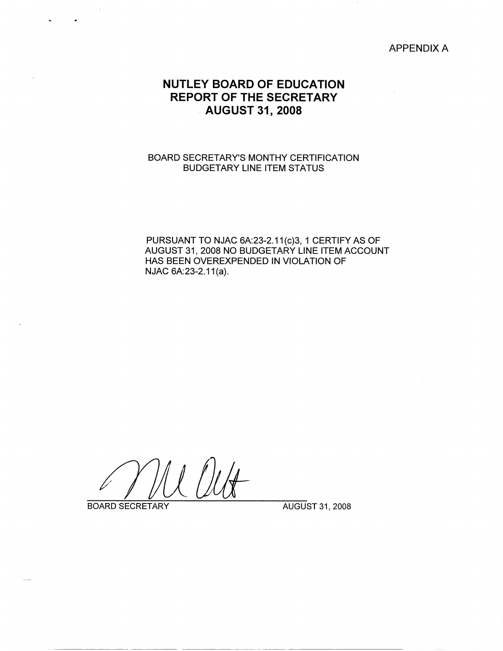APPENDIX A

# **NUTLEY BOARD OF EDUCATION REPORT OF THE SECRETARY AUGUST 31, 2008**

### BOARD SECRETARY'S MONTHY CERTIFICATION BUDGETARY LINE ITEM STATUS

PURSUANT TO NJAC 6A:23-2.11(c)3, 1 CERTIFY AS OF AUGUST 31, 2008 NO BUDGETARY LINE ITEM ACCOUNT HAS BEEN OVEREXPENDED IN VIOLATION OF NJAC 6A:23-2.11(a).

BOARD SECRETARY AUGUST 31, 2008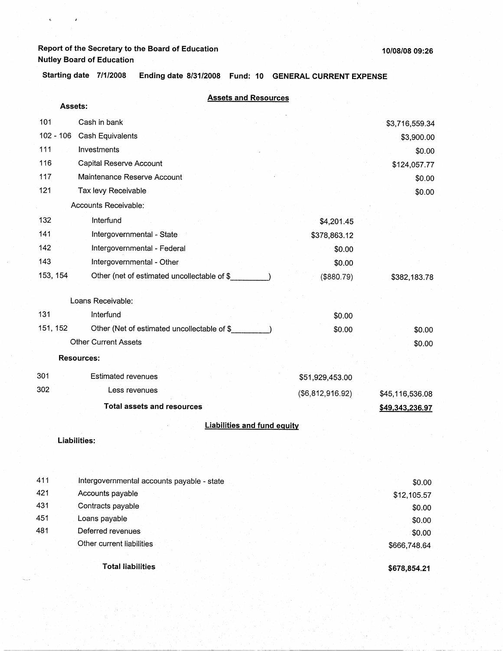### **Report of the Secretary to the Board of Education 10/08/08 09:26 10/08/08 09:26 Nutley Board of Education**

**Starting date 7/1/2008 Ending date 8/31/2008 Fund: 10 GENERAL CURRENT EXPENSE** 

|             | <b>Assets and Resources</b>                  |                    |                 |
|-------------|----------------------------------------------|--------------------|-----------------|
|             | Assets:                                      |                    |                 |
| 101         | Cash in bank                                 |                    | \$3,716,559.34  |
| $102 - 106$ | Cash Equivalents                             |                    | \$3,900.00      |
| 111         | Investments                                  |                    | \$0.00          |
| 116         | Capital Reserve Account                      |                    | \$124,057.77    |
| 117         | Maintenance Reserve Account                  |                    | \$0.00          |
| 121         | Tax levy Receivable                          |                    | \$0.00          |
|             | Accounts Receivable:                         |                    |                 |
| 132         | Interfund                                    | \$4,201.45         |                 |
| 141         | Intergovernmental - State                    | \$378,863.12       |                 |
| 142         | Intergovernmental - Federal                  | \$0.00             |                 |
| 143         | Intergovernmental - Other                    | \$0.00             |                 |
| 153, 154    | Other (net of estimated uncollectable of \$  | (\$880.79)         | \$382,183.78    |
|             | Loans Receivable:                            |                    |                 |
| 131         | Interfund                                    | \$0.00             |                 |
| 151, 152    | Other (Net of estimated uncollectable of \$_ | \$0.00             | \$0.00          |
|             | <b>Other Current Assets</b>                  |                    | \$0.00          |
|             | <b>Resources:</b>                            |                    |                 |
| 301         | <b>Estimated revenues</b>                    | \$51,929,453.00    |                 |
| 302         | Less revenues                                | (\$6, 812, 916.92) | \$45,116,536.08 |
|             | <b>Total assets and resources</b>            |                    | \$49,343,236.97 |
|             | <b>Liabilities and fund equity</b>           |                    |                 |
|             | <b>Liabilities:</b>                          |                    |                 |
|             |                                              |                    |                 |
|             |                                              |                    |                 |
| 411         | Intergovernmental accounts payable - state   |                    | \$0.00          |
| 421         | Accounts payable                             |                    | \$12,105.57     |
| 431         | Contracts payable                            |                    | \$0.00          |
| 451         | Loans payable                                |                    | \$0.00          |
| 481         | Deferred revenues                            |                    | \$0.00          |
|             | Other current liabilities                    |                    | \$666,748.64    |

**Total liabilities** 

**\$678,854.21**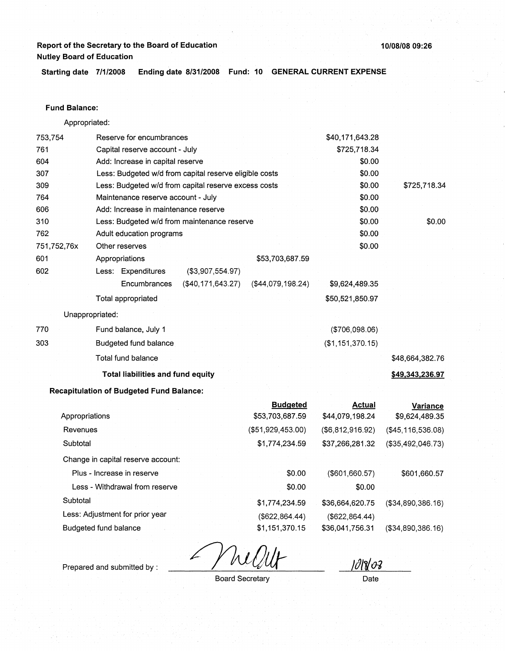**Starting date 7/1/2008 Ending date 8/31/2008 Fund: 10 GENERAL CURRENT EXPENSE** 

#### **Fund Balance:**

Appropriated:

| 753,754         | Reserve for encumbrances                               |                   | \$40,171,643.28  |                   |
|-----------------|--------------------------------------------------------|-------------------|------------------|-------------------|
| 761             | Capital reserve account - July                         |                   | \$725,718.34     |                   |
| 604             | Add: Increase in capital reserve                       |                   | \$0.00           |                   |
| 307             | Less: Budgeted w/d from capital reserve eligible costs |                   | \$0.00           |                   |
| 309             | Less: Budgeted w/d from capital reserve excess costs   |                   | \$0.00           | \$725,718.34      |
| 764             | Maintenance reserve account - July                     |                   | \$0.00           |                   |
| 606             | Add: Increase in maintenance reserve                   |                   | \$0.00           |                   |
| 310             | Less: Budgeted w/d from maintenance reserve            |                   | \$0.00           | \$0.00            |
| 762             | Adult education programs                               |                   | \$0.00           |                   |
| 751,752,76x     | Other reserves                                         |                   | \$0.00           |                   |
| 601             | Appropriations                                         | \$53,703,687.59   |                  |                   |
| 602             | Less: Expenditures<br>(\$3,907,554.97)                 |                   |                  |                   |
|                 | (\$40, 171, 643.27)<br>Encumbrances                    | (\$44,079,198.24) | \$9,624,489.35   |                   |
|                 | Total appropriated                                     |                   | \$50,521,850.97  |                   |
| Unappropriated: |                                                        |                   |                  |                   |
| 770             | Fund balance, July 1                                   |                   | (\$706,098.06)   |                   |
| 303             | Budgeted fund balance                                  |                   | (\$1,151,370.15) |                   |
|                 | Total fund balance                                     |                   |                  | \$48,664,382.76   |
|                 | <b>Total liabilities and fund equity</b>               |                   |                  | \$49,343,236.97   |
|                 | <b>Recapitulation of Budgeted Fund Balance:</b>        |                   |                  |                   |
|                 |                                                        | <b>Budgeted</b>   | <b>Actual</b>    | Variance          |
| Appropriations  |                                                        | \$53,703,687.59   | \$44,079,198.24  | \$9,624,489.35    |
| Revenues        |                                                        | (\$51,929,453.00) | (\$6,812,916.92) | (\$45,116,536.08) |
| Subtotal        |                                                        | \$1,774,234.59    | \$37,266,281.32  | (\$35,492,046.73) |

Change in capital reserve account: Plus - Increase in reserve Less - Withdrawal from reserve **Subtotal** 

Less: Adjustment for prior year

Budgeted fund balance

101**8**67

Prepared and submitted by :

Board Secretary

\$0.00 \$0.00

\$1,774,234.59 (\$622,864.44) \$1,151,370.15

Date

(\$601,660.57)

(\$622,864.44)

\$0.00

\$36,664,620.75 (\$34,890,386.16)

\$36,041,756.31 (\$34,890,386.16)

\$601,660.57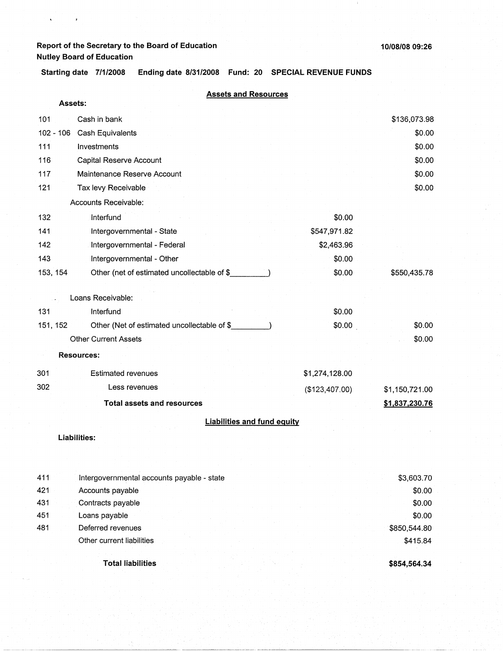**Starting date 7/1/2008 Ending date 8/31/2008 Fund: 20 SPECIAL REVENUE FUNDS** 

|           | <b>Assets and Resources</b>                  |                |                |
|-----------|----------------------------------------------|----------------|----------------|
|           | Assets:                                      |                |                |
| 101       | Cash in bank                                 |                | \$136,073.98   |
| 102 - 106 | Cash Equivalents                             |                | \$0.00         |
| 111       | Investments                                  |                | \$0.00         |
| 116       | Capital Reserve Account                      |                | \$0.00         |
| 117       | Maintenance Reserve Account                  |                | \$0.00         |
| 121       | Tax levy Receivable                          |                | \$0.00         |
|           | Accounts Receivable:                         |                |                |
| 132       | Interfund                                    | \$0.00         |                |
| 141       | Intergovernmental - State                    | \$547,971.82   |                |
| 142       | Intergovernmental - Federal                  | \$2,463.96     |                |
| 143       | Intergovernmental - Other                    | \$0.00         |                |
| 153, 154  | Other (net of estimated uncollectable of \$_ | \$0.00         | \$550,435.78   |
|           | Loans Receivable:                            |                |                |
| 131       | Interfund                                    | \$0.00         |                |
| 151, 152  | Other (Net of estimated uncollectable of \$_ | \$0.00         | \$0.00         |
|           | <b>Other Current Assets</b>                  |                | \$0.00         |
|           | <b>Resources:</b>                            |                |                |
| 301       | <b>Estimated revenues</b>                    | \$1,274,128.00 |                |
| 302       | Less revenues                                | (\$123,407.00) | \$1,150,721.00 |
|           | <b>Total assets and resources</b>            |                | \$1,837,230.76 |
|           | <b>Liabilities and fund equity</b>           |                |                |
|           | Liabilities:                                 |                |                |
|           |                                              |                |                |
|           |                                              |                |                |
| 411       | Intergovernmental accounts payable - state   |                | \$3,603.70     |
| 421       | Accounts payable                             |                | \$0.00         |
| 431       | Contracts payable                            |                | \$0.00         |
| 451       | Loans payable                                |                | \$0.00         |
| 481       | Deferred revenues                            |                | \$850,544.80   |
|           | Other current liabilities                    |                | \$415.84       |

----------------------~-- -------- ----------------------- --------

**Total liabilities** 

**\$854,564.34**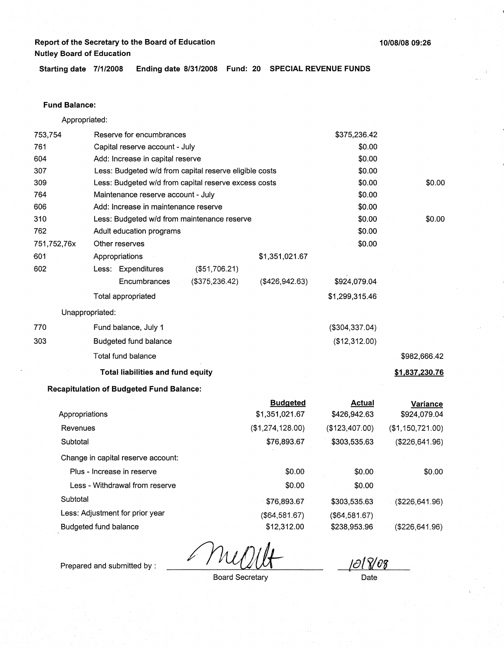**10/08/08 09:26** 

**Starting date 7/1/2008 Ending date 8/31/2008 Fund: 20 SPECIAL REVENUE FUNDS** 

#### **Fund Balance:**

Appropriated:

| 753,754     | Reserve for encumbrances                               |                  | \$375,236.42   |                  |
|-------------|--------------------------------------------------------|------------------|----------------|------------------|
| 761         | Capital reserve account - July                         |                  | \$0.00         |                  |
| 604         | Add: Increase in capital reserve                       |                  | \$0.00         |                  |
| 307         | Less: Budgeted w/d from capital reserve eligible costs |                  | \$0.00         |                  |
| 309         | Less: Budgeted w/d from capital reserve excess costs   |                  | \$0.00         | \$0.00           |
| 764         | Maintenance reserve account - July                     |                  | \$0.00         |                  |
| 606         | Add: Increase in maintenance reserve                   |                  | \$0.00         |                  |
| 310         | Less: Budgeted w/d from maintenance reserve            |                  | \$0.00         | \$0.00           |
| 762         | Adult education programs                               |                  | \$0.00         |                  |
| 751,752,76x | Other reserves                                         |                  | \$0.00         |                  |
| 601         | Appropriations                                         | \$1,351,021.67   |                |                  |
| 602         | Less: Expenditures<br>(\$51,706.21)                    |                  |                |                  |
|             | (\$375,236.42)<br>Encumbrances                         | (\$426,942.63)   | \$924,079.04   |                  |
|             | Total appropriated                                     |                  | \$1,299,315.46 |                  |
|             | Unappropriated:                                        |                  |                |                  |
| 770         | Fund balance, July 1                                   |                  | (\$304,337.04) |                  |
| 303         | Budgeted fund balance                                  |                  | (\$12,312.00)  |                  |
|             | Total fund balance                                     |                  |                | \$982,666.42     |
|             | Total liabilities and fund equity                      |                  |                | \$1,837,230.76   |
|             | <b>Recapitulation of Budgeted Fund Balance:</b>        |                  |                |                  |
|             |                                                        | <b>Budgeted</b>  | <b>Actual</b>  | Variance         |
|             | Appropriations                                         | \$1,351,021.67   | \$426,942.63   | \$924,079.04     |
|             | Revenues                                               | (\$1,274,128.00) | (\$123,407.00) | (\$1,150,721.00) |
| Subtotal    |                                                        | \$76,893.67      | \$303,535.63   | (\$226,641.96)   |
|             | Change in capital reserve account:                     |                  |                |                  |
|             | Plus - Increase in reserve                             | \$0.00           | \$0.00         | \$0.00           |
|             | Less - Withdrawal from reserve                         | \$0.00           | \$0.00         |                  |
| Subtotal    |                                                        | \$76,893.67      | \$303,535.63   | (\$226,641.96)   |

1018/08

(\$226,641.96)

Prepared and submitted by :

Less: Adjustment for prior year

Budgeted fund balance

Board Secretary

(\$64,581.67) \$12,312.00

Date

(\$64,581.67) \$238,953.96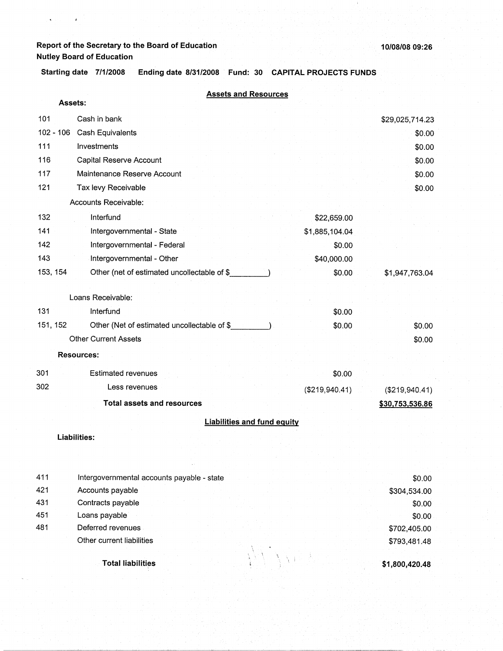**10/08/08 09:26** 

**Starting date 7/1/2008 Ending date 8/31/2008 Fund: 30 CAPITAL PROJECTS FUNDS** 

|             | <b>Assets and Resources</b>                                                |                |                 |
|-------------|----------------------------------------------------------------------------|----------------|-----------------|
|             | <b>Assets:</b>                                                             |                |                 |
| 101         | Cash in bank                                                               |                | \$29,025,714.23 |
| $102 - 106$ | Cash Equivalents                                                           |                | \$0.00          |
| 111         | Investments                                                                |                | \$0.00          |
| 116         | Capital Reserve Account                                                    |                | \$0.00          |
| 117         | Maintenance Reserve Account                                                |                | \$0.00          |
| 121         | Tax levy Receivable                                                        |                | \$0.00          |
|             | Accounts Receivable:                                                       |                |                 |
| 132         | Interfund                                                                  | \$22,659.00    |                 |
| 141         | Intergovernmental - State                                                  | \$1,885,104.04 |                 |
| 142         | Intergovernmental - Federal                                                | \$0.00         |                 |
| 143         | Intergovernmental - Other                                                  | \$40,000.00    |                 |
| 153, 154    | Other (net of estimated uncollectable of \$                                | \$0.00         | \$1,947,763.04  |
|             | Loans Receivable:                                                          |                |                 |
| 131         | Interfund                                                                  | \$0.00         |                 |
|             |                                                                            |                |                 |
| 151, 152    | Other (Net of estimated uncollectable of \$<br><b>Other Current Assets</b> | \$0.00         | \$0.00          |
|             |                                                                            |                | \$0.00          |
|             | <b>Resources:</b>                                                          |                |                 |
| 301         | <b>Estimated revenues</b>                                                  | \$0.00         |                 |
| 302         | Less revenues                                                              | (\$219,940.41) | (\$219,940.41)  |
|             | <b>Total assets and resources</b>                                          |                | \$30,753,536.86 |
|             | <b>Liabilities and fund equity</b>                                         |                |                 |
|             | <b>Liabilities:</b>                                                        |                |                 |
|             |                                                                            |                |                 |
|             |                                                                            |                |                 |
| 411         | Intergovernmental accounts payable - state                                 |                | \$0.00          |
| 421         | Accounts payable                                                           |                | \$304,534.00    |
| 431         | Contracts payable                                                          |                | \$0.00          |
| 451         | Loans payable                                                              |                | \$0.00          |
| 481         | Deferred revenues                                                          |                | \$702,405.00    |
|             | Other current liabilities                                                  |                | \$793,481.48    |
|             |                                                                            |                |                 |
|             | <b>Total liabilities</b>                                                   |                | \$1,800,420.48  |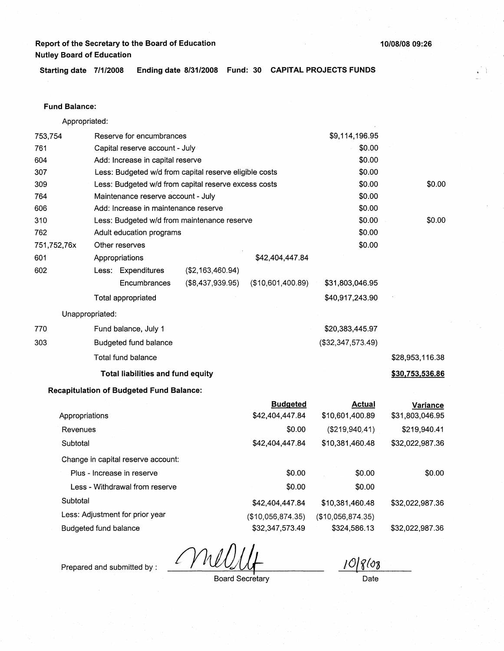')

**Starting date 7/1/2008 Ending date 8/31/2008 Fund: 30 CAPITAL PROJECTS FUNDS** 

#### **Fund Balance:**

Appropriated: 753,754 Reserve for encumbrances Capital reserve account - July Add: Increase in capital reserve 761 604 307 309 764 606 310 Less: Budgeted w/d from capital reserve eligible costs Less: Budgeted w/d from capital reserve excess costs Maintenance reserve account - July Add: Increase in maintenance reserve 762 751,752,76x 601 Less: Budgeted w/d from maintenance reserve Adult education programs Other reserves Appropriations \$42,404,447.84 602 (\$2,163,460.94) Less: Expenditures 770 303 Encumbrances (\$8,437,939.95) (\$10,601,400.89) Total appropriated Unappropriated: Fund balance, July 1 Budgeted fund balance Total fund balance **Total liabilities and fund equity Recapitulation of Budgeted Fund Balance:**  \$9,114,196.95 \$0.00 \$0.00 \$0.00 \$0.00 \$0.00 \$0.00 \$0.00 \$0.00 \$0.00 \$31,803,046.95 \$40,917,243.90 \$20,383,445.97 (\$32,347,573.49) \$0.00 \$0.00 \$28,953,116.38 **\$30,753,536.86** 

|                                    | <b>Budgeted</b>   | Actual            | Variance        |
|------------------------------------|-------------------|-------------------|-----------------|
| Appropriations                     | \$42,404,447.84   | \$10,601,400.89   | \$31,803,046.95 |
| Revenues                           | \$0.00            | (\$219,940,41)    | \$219,940.41    |
| Subtotal                           | \$42,404,447.84   | \$10,381,460.48   | \$32,022,987.36 |
| Change in capital reserve account: |                   |                   |                 |
| Plus - Increase in reserve         | \$0.00            | \$0.00            | \$0.00          |
| Less - Withdrawal from reserve     | \$0.00            | \$0.00            |                 |
| Subtotal                           | \$42,404,447.84   | \$10,381,460.48   | \$32,022,987.36 |
| Less: Adjustment for prior year    | (\$10,056,874.35) | (\$10,056,874.35) |                 |
| Budgeted fund balance              | \$32,347,573.49   | \$324,586.13      | \$32,022,987.36 |

 $V h$ 

18608

Prepared and submitted by :

Board Secretary

Date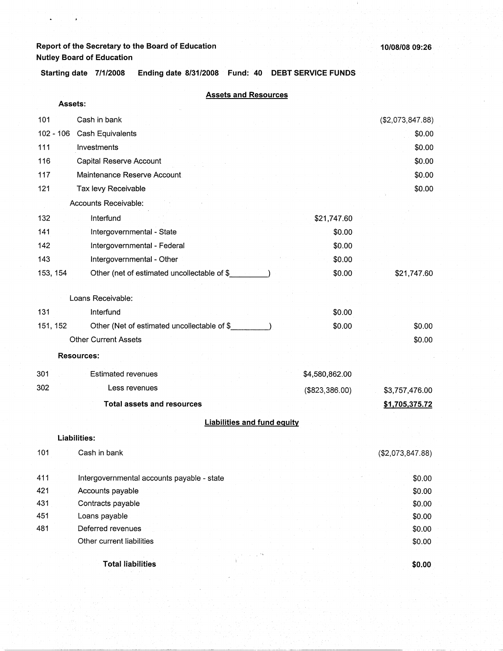**Starting date 7/1/2008 Ending date 8/31/2008 Fund: 40 DEBT SERVICE FUNDS** 

|             | <b>Assets and Resources</b>                                                |                |                  |
|-------------|----------------------------------------------------------------------------|----------------|------------------|
|             | <b>Assets:</b>                                                             |                |                  |
| 101         | Cash in bank                                                               |                | (\$2,073,847.88) |
| $102 - 106$ | Cash Equivalents                                                           |                | \$0.00           |
| 111         | Investments                                                                |                | \$0.00           |
| 116         | Capital Reserve Account                                                    |                | \$0.00           |
| 117         | Maintenance Reserve Account                                                |                | \$0.00           |
| 121         | Tax levy Receivable                                                        |                | \$0.00           |
|             | Accounts Receivable:                                                       |                |                  |
| 132         | Interfund                                                                  | \$21,747.60    |                  |
| 141         | Intergovernmental - State                                                  | \$0.00         |                  |
| 142         | Intergovernmental - Federal                                                | \$0.00         |                  |
| 143         | Intergovernmental - Other                                                  | \$0.00         |                  |
| 153, 154    | Other (net of estimated uncollectable of \$                                | \$0.00         | \$21,747.60      |
|             | Loans Receivable:                                                          |                |                  |
| 131         | Interfund                                                                  | \$0.00         |                  |
| 151, 152    |                                                                            | \$0.00         | \$0.00           |
|             | Other (Net of estimated uncollectable of \$<br><b>Other Current Assets</b> |                | \$0.00           |
|             |                                                                            |                |                  |
|             | <b>Resources:</b>                                                          |                |                  |
| 301         | <b>Estimated revenues</b>                                                  | \$4,580,862.00 |                  |
| 302         | Less revenues                                                              | (\$823,386.00) | \$3,757,476.00   |
|             | <b>Total assets and resources</b>                                          |                | \$1,705,375.72   |
|             | <b>Liabilities and fund equity</b>                                         |                |                  |
|             | Liabilities:                                                               |                |                  |
| 101         | Cash in bank                                                               |                | (\$2,073,847.88) |
|             |                                                                            |                |                  |
| 411         | Intergovernmental accounts payable - state                                 |                | \$0.00           |
| 421         | Accounts payable                                                           |                | \$0.00           |
| 431         | Contracts payable                                                          |                | \$0.00           |
| 451         | Loans payable                                                              |                | \$0.00           |
| 481         | Deferred revenues                                                          |                | \$0.00           |
|             | Other current liabilities                                                  |                | \$0.00           |
|             | <b>Total liabilities</b>                                                   |                | \$0.00           |
|             |                                                                            |                |                  |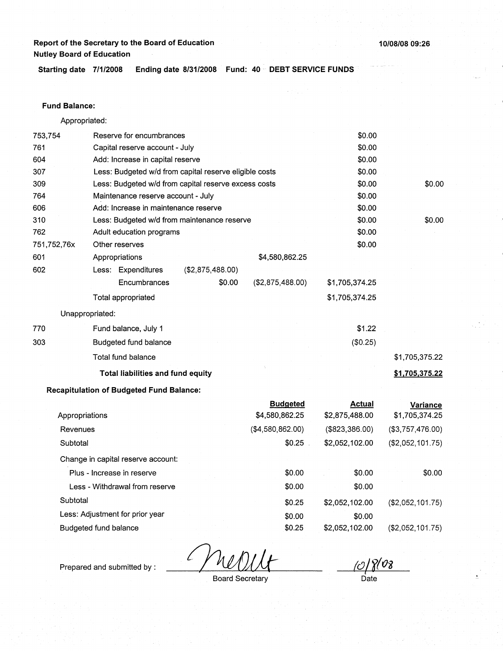**10/08/08 09:26** 

Starting date 7/1/2008 Ending date 8/31/2008 Fund: 40 DEBT SERVICE FUNDS

#### **Fund Balance:**

Appropriated:

| 753,754     | Reserve for encumbrances                               |                  |                  | \$0.00         |                |
|-------------|--------------------------------------------------------|------------------|------------------|----------------|----------------|
| 761         | Capital reserve account - July                         |                  |                  | \$0.00         |                |
| 604         | Add: Increase in capital reserve                       |                  |                  | \$0.00         |                |
| 307         | Less: Budgeted w/d from capital reserve eligible costs |                  |                  | \$0.00         |                |
| 309         | Less: Budgeted w/d from capital reserve excess costs   |                  |                  | \$0.00         | \$0.00         |
| 764         | Maintenance reserve account - July                     |                  |                  | \$0.00         |                |
| 606         | Add: Increase in maintenance reserve                   |                  |                  | \$0.00         |                |
| 310         | Less: Budgeted w/d from maintenance reserve            |                  |                  | \$0.00         | \$0.00         |
| 762         | Adult education programs                               |                  |                  | \$0.00         |                |
| 751,752,76x | Other reserves                                         |                  |                  | \$0.00         |                |
| 601         | Appropriations                                         |                  | \$4,580,862.25   |                |                |
| 602         | Less: Expenditures                                     | (\$2,875,488.00) |                  |                |                |
|             | Encumbrances                                           | \$0.00           | (\$2,875,488.00) | \$1,705,374.25 |                |
|             | Total appropriated                                     |                  |                  | \$1,705,374.25 |                |
|             | Unappropriated:                                        |                  |                  |                |                |
| 770         | Fund balance, July 1                                   |                  |                  | \$1.22         |                |
| 303         | Budgeted fund balance                                  |                  |                  | (\$0.25)       |                |
|             | Total fund balance                                     |                  |                  |                | \$1,705,375.22 |
|             | <b>Total liabilities and fund equity</b>               |                  |                  |                | \$1,705,375.22 |
|             | <b>Recapitulation of Budgeted Fund Balance:</b>        |                  |                  |                |                |
|             |                                                        |                  | <b>Budgeted</b>  | <b>Actual</b>  | Variance       |

|                                    | -------          | , , , , , , , , | <b>Valiative</b>   |
|------------------------------------|------------------|-----------------|--------------------|
| Appropriations                     | \$4,580,862.25   | \$2,875,488.00  | \$1,705,374.25     |
| Revenues                           | (\$4,580,862.00) | (\$823,386.00)  | (\$3,757,476.00)   |
| Subtotal                           | \$0.25           | \$2,052,102.00  | (\$2,052,101.75)   |
| Change in capital reserve account: |                  |                 |                    |
| Plus - Increase in reserve         | \$0.00           | \$0.00          | \$0.00             |
| Less - Withdrawal from reserve     | \$0.00           | \$0.00          |                    |
| Subtotal                           | \$0.25           | \$2,052,102.00  | (\$2,052,101.75)   |
| Less: Adjustment for prior year    | \$0.00           | \$0.00          |                    |
| Budgeted fund balance              | \$0.25           | \$2,052,102.00  | $(\$2,052,101.75)$ |
|                                    |                  |                 |                    |

 $\blacksquare$ 

Prepared and submitted by :

Board Secretary

Date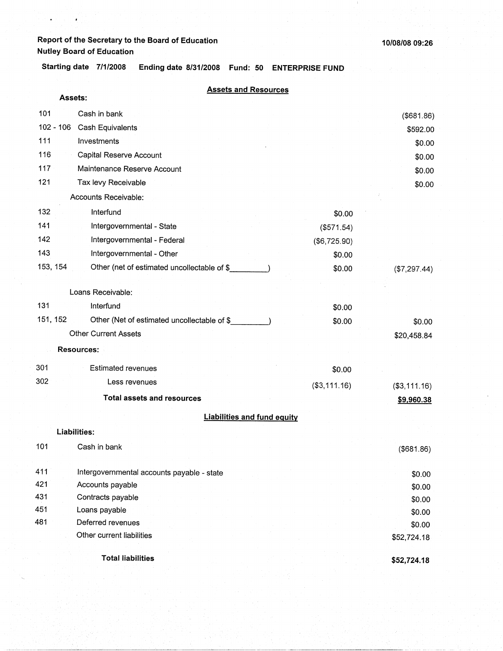k.

 $\hat{\textbf{a}}$ 

**Starting date 7/1/2008 Ending date 8/31/2008 Fund: 50 ENTERPRISE FUND** 

|             | <b>Assets and Resources</b>                 |              |               |
|-------------|---------------------------------------------|--------------|---------------|
|             | Assets:                                     |              |               |
| 101         | Cash in bank                                |              | (\$681.86)    |
| $102 - 106$ | Cash Equivalents                            |              | \$592.00      |
| 111         | Investments                                 |              | \$0.00        |
| 116         | Capital Reserve Account                     |              | \$0.00        |
| 117         | Maintenance Reserve Account                 |              | \$0.00        |
| 121         | Tax levy Receivable                         |              | \$0.00        |
|             | Accounts Receivable:                        |              |               |
| 132         | Interfund                                   | \$0.00       |               |
| 141         | Intergovernmental - State                   | (\$571.54)   |               |
| 142         | Intergovernmental - Federal                 | (\$6,725.90) |               |
| 143         | Intergovernmental - Other                   | \$0.00       |               |
| 153, 154    | Other (net of estimated uncollectable of \$ | \$0.00       | (\$7,297.44)  |
|             |                                             |              |               |
|             | Loans Receivable:                           |              |               |
| 131         | Interfund                                   | \$0.00       |               |
| 151, 152    | Other (Net of estimated uncollectable of \$ | \$0.00       | \$0.00        |
|             | <b>Other Current Assets</b>                 |              | \$20,458.84   |
|             | <b>Resources:</b>                           |              |               |
| 301         | <b>Estimated revenues</b>                   |              |               |
| 302         | Less revenues                               | \$0.00       |               |
|             |                                             | (\$3,111.16) | ( \$3,111.16) |
|             | <b>Total assets and resources</b>           |              | \$9,960.38    |
|             | <b>Liabilities and fund equity</b>          |              |               |
|             | Liabilities:                                |              |               |
| 101         | Cash in bank                                |              | (\$681.86)    |
|             |                                             |              |               |
| 411         | Intergovernmental accounts payable - state  |              | \$0.00        |
| 421         | Accounts payable                            |              | \$0.00        |
| 431         | Contracts payable                           |              | \$0.00        |
| 451         | Loans payable                               |              | \$0.00        |
| 481         | Deferred revenues                           |              | \$0.00        |
|             | Other current liabilities                   |              | \$52,724.18   |
|             | <b>Total liabilities</b>                    |              |               |
|             |                                             |              | \$52,724.18   |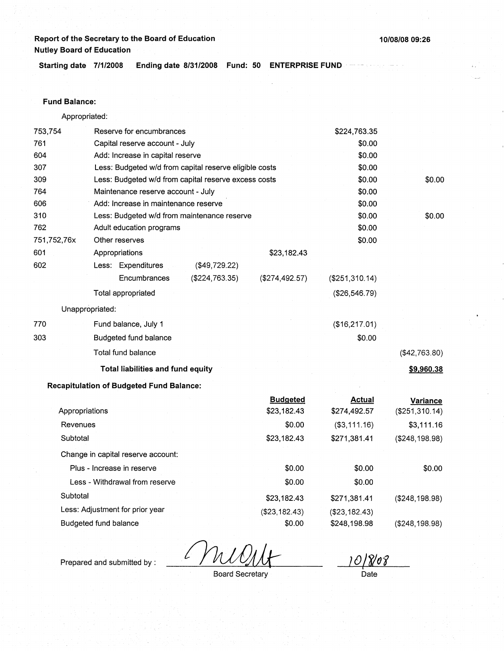**10/08/08 09:26** 

Starting date 7/1/2008 Ending date 8/31/2008 Fund: 50 ENTERPRISE FUND

#### **Fund Balance:**

Appropriated:

| 753,754     | Reserve for encumbrances                               |                                  | \$224,763.35                  |                            |
|-------------|--------------------------------------------------------|----------------------------------|-------------------------------|----------------------------|
| 761         | Capital reserve account - July                         |                                  | \$0.00                        |                            |
| 604         | Add: Increase in capital reserve                       |                                  | \$0.00                        |                            |
| 307         | Less: Budgeted w/d from capital reserve eligible costs |                                  | \$0.00                        |                            |
| 309         | Less: Budgeted w/d from capital reserve excess costs   |                                  | \$0.00                        | \$0.00                     |
| 764         | Maintenance reserve account - July                     |                                  | \$0.00                        |                            |
| 606         | Add: Increase in maintenance reserve                   |                                  | \$0.00                        |                            |
| 310         | Less: Budgeted w/d from maintenance reserve            |                                  | \$0.00                        | \$0.00                     |
| 762         | Adult education programs                               |                                  | \$0.00                        |                            |
| 751,752,76x | Other reserves                                         |                                  | \$0.00                        |                            |
| 601         | Appropriations                                         | \$23,182.43                      |                               |                            |
| 602         | Less: Expenditures                                     | (\$49,729.22)                    |                               |                            |
|             | Encumbrances                                           | (\$224,763.35)<br>(\$274,492.57) | (\$251,310.14)                |                            |
|             | Total appropriated                                     |                                  | (\$26,546.79)                 |                            |
|             | Unappropriated:                                        |                                  |                               |                            |
| 770         | Fund balance, July 1                                   |                                  | (\$16,217.01)                 |                            |
| 303         | Budgeted fund balance                                  |                                  | \$0.00                        |                            |
|             | Total fund balance                                     |                                  |                               | (\$42,763.80)              |
|             | Total liabilities and fund equity                      |                                  |                               | \$9,960.38                 |
|             | <b>Recapitulation of Budgeted Fund Balance:</b>        |                                  |                               |                            |
|             | Appropriations                                         | <b>Budgeted</b><br>\$23,182.43   | <b>Actual</b><br>\$274,492.57 | Variance<br>(\$251,310.14) |
|             | Revenues                                               | \$0.00                           | (\$3,111.16)                  | \$3,111.16                 |
|             | Subtotal                                               | \$23,182.43                      | \$271,381.41                  | (\$248,198.98)             |
|             | Change in capital reserve account:                     |                                  |                               |                            |
|             | Plus - Increase in reserve                             | \$0.00                           | \$0.00                        | \$0.00                     |
|             | Less - Withdrawal from reserve                         | \$0.00                           | \$0.00                        |                            |
|             | Subtotal                                               | \$23,182.43                      | \$271,381.41                  | (\$248,198.98)             |
|             | Less: Adjustment for prior year                        | (\$23,182.43)                    | (\$23,182.43)                 |                            |

Budgeted fund balance

Prepared and submitted by :

Board Secretary

\$0.00

<u> 1018/08</u>

(\$248,198.98)

Date

\$248, 198.98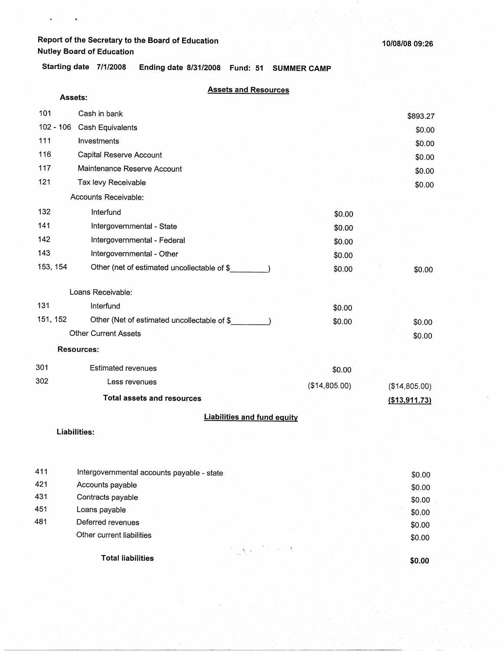L

**Starting date 7/1/2008 Ending date 8/31/2008 Fund: 51 SUMMER CAMP** 

|             | <b>Assets and Resources</b>                 |               |               |
|-------------|---------------------------------------------|---------------|---------------|
| Assets:     |                                             |               |               |
| 101         | Cash in bank                                |               | \$893.27      |
| $102 - 106$ | Cash Equivalents                            |               | \$0.00        |
| 111         | Investments                                 |               | \$0.00        |
| 116         | Capital Reserve Account                     |               | \$0.00        |
| 117         | Maintenance Reserve Account                 |               | \$0.00        |
| 121         | Tax levy Receivable                         |               | \$0.00        |
|             | Accounts Receivable:                        |               |               |
| 132         | Interfund                                   | \$0.00        |               |
| 141         | Intergovernmental - State                   | \$0.00        |               |
| 142         | Intergovernmental - Federal                 | \$0.00        |               |
| 143         | Intergovernmental - Other                   | \$0.00        |               |
| 153, 154    | Other (net of estimated uncollectable of \$ | \$0.00        | \$0.00        |
|             | Loans Receivable:                           |               |               |
| 131         | Interfund                                   | \$0.00        |               |
| 151, 152    | Other (Net of estimated uncollectable of \$ | \$0.00        | \$0.00        |
|             | Other Current Assets                        |               | \$0.00        |
|             | <b>Resources:</b>                           |               |               |
| 301         | <b>Estimated revenues</b>                   | \$0.00        |               |
| 302         | Less revenues                               | (\$14,805.00) | (\$14,805.00) |
|             | <b>Total assets and resources</b>           |               | (\$13,911.73) |
|             | <b>Liabilities and fund equity</b>          |               |               |
|             | Liabilities:                                |               |               |
|             |                                             |               |               |
| 411         | Intergovernmental accounts payable - state  |               |               |
|             |                                             |               | \$0.00        |

|     |                           | -----  |
|-----|---------------------------|--------|
| 421 | Accounts payable          | \$0.00 |
| 431 | Contracts payable         | \$0.00 |
| 451 | Loans payable             | \$0.00 |
| 481 | Deferred revenues         | \$0.00 |
|     | Other current liabilities | \$0.00 |
|     | <b>Total liabilities</b>  | \$0.00 |
|     |                           |        |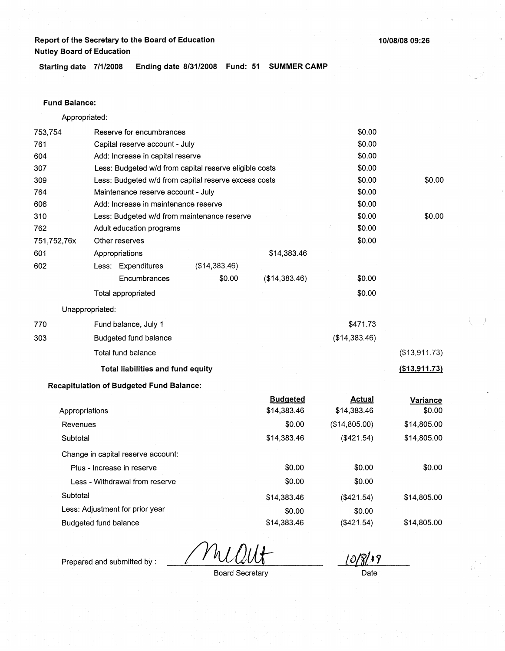**Starting date 7/1/2008 Ending date 8/31/2008 Fund: 51 SUMMER CAMP** 

#### Fund **Balance:**

Appropriated:

| 753,754        | Reserve for encumbrances                               |               |                                | \$0.00                       |                    |  |
|----------------|--------------------------------------------------------|---------------|--------------------------------|------------------------------|--------------------|--|
| 761            | Capital reserve account - July                         |               |                                | \$0.00                       |                    |  |
| 604            | Add: Increase in capital reserve                       |               | \$0.00                         |                              |                    |  |
| 307            | Less: Budgeted w/d from capital reserve eligible costs | \$0.00        |                                |                              |                    |  |
| 309            | Less: Budgeted w/d from capital reserve excess costs   |               |                                | \$0.00                       | \$0.00             |  |
| 764            | Maintenance reserve account - July                     |               |                                | \$0.00                       |                    |  |
| 606            | Add: Increase in maintenance reserve                   |               |                                | \$0.00                       |                    |  |
| 310            | Less: Budgeted w/d from maintenance reserve            |               |                                | \$0.00                       | \$0.00             |  |
| 762            | Adult education programs                               |               |                                | \$0.00                       |                    |  |
| 751,752,76x    | Other reserves                                         |               |                                | \$0.00                       |                    |  |
| 601            | Appropriations                                         |               | \$14,383.46                    |                              |                    |  |
| 602            | Less: Expenditures                                     | (\$14,383.46) |                                |                              |                    |  |
|                | Encumbrances                                           | \$0.00        | (\$14,383.46)                  | \$0.00                       |                    |  |
|                | Total appropriated                                     |               |                                | \$0.00                       |                    |  |
|                | Unappropriated:                                        |               |                                |                              |                    |  |
| 770            | Fund balance, July 1                                   |               |                                | \$471.73                     |                    |  |
| 303            | Budgeted fund balance                                  |               |                                | (\$14,383.46)                |                    |  |
|                | Total fund balance                                     |               |                                |                              | (\$13,911.73)      |  |
|                | Total liabilities and fund equity                      |               |                                |                              | (\$13,911.73)      |  |
|                | <b>Recapitulation of Budgeted Fund Balance:</b>        |               |                                |                              |                    |  |
| Appropriations |                                                        |               | <b>Budgeted</b><br>\$14,383.46 | <b>Actual</b><br>\$14,383.46 | Variance<br>\$0.00 |  |
| Revenues       |                                                        |               | \$0.00                         | (\$14,805.00)                | \$14,805.00        |  |
| Subtotal       |                                                        |               | \$14,383.46                    | (\$421.54)                   | \$14,805.00        |  |
|                | Change in capital reserve account:                     |               |                                |                              |                    |  |
|                | Plus - Increase in reserve                             |               | \$0.00                         | \$0.00                       | \$0.00             |  |
|                | Less - Withdrawal from reserve                         |               | \$0.00                         | \$0.00                       |                    |  |
| Subtotal       |                                                        |               | \$14,383.46                    | (\$421.54)                   | \$14,805.00        |  |
|                | Less: Adjustment for prior year                        |               | \$0.00                         | \$0.00                       |                    |  |
|                | Budgeted fund balance                                  |               | \$14,383.46                    | (\$421.54)                   | \$14,805.00        |  |

leJfiL\_•?

**10/08/08 09:26** 

Prepared and submitted by :

Board Secretary

Date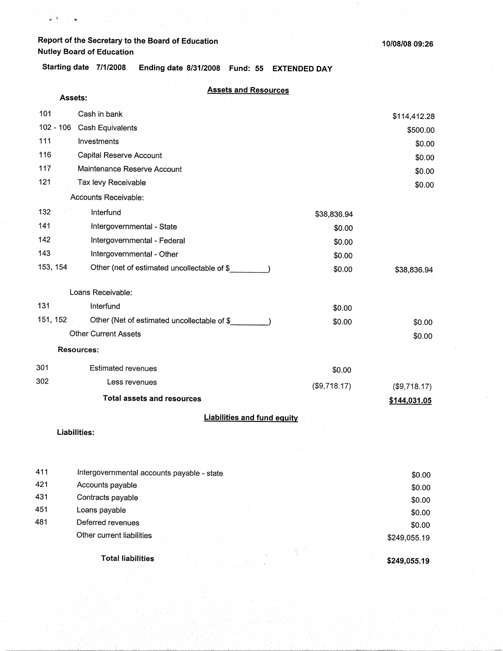**Starting date 7/1/2008 Ending date 8/31/2008 Fund: 55 EXTENDED DAY** 

ي ڏ∌ ٿو.<br>سال

| <b>Assets and Resources</b><br>Assets:                  |              |                          |
|---------------------------------------------------------|--------------|--------------------------|
| 101<br>Cash in bank                                     |              |                          |
| $102 - 106$<br>Cash Equivalents                         |              | \$114,412.28<br>\$500.00 |
| 111<br>Investments                                      |              |                          |
| 116<br>Capital Reserve Account                          |              | \$0.00                   |
| 117<br>Maintenance Reserve Account                      |              | \$0.00                   |
| 121<br>Tax levy Receivable                              |              | \$0.00                   |
| Accounts Receivable:                                    |              | \$0.00                   |
|                                                         |              |                          |
| 132<br>Interfund                                        | \$38,836.94  |                          |
| 141<br>Intergovernmental - State                        | \$0.00       |                          |
| 142<br>Intergovernmental - Federal                      | \$0.00       |                          |
| 143<br>Intergovernmental - Other                        | \$0.00       |                          |
| 153, 154<br>Other (net of estimated uncollectable of \$ | \$0.00       | \$38,836.94              |
| Loans Receivable:                                       |              |                          |
| 131<br>Interfund                                        | \$0.00       |                          |
| 151, 152<br>Other (Net of estimated uncollectable of \$ | \$0.00       | \$0.00                   |
| <b>Other Current Assets</b>                             |              | \$0.00                   |
| <b>Resources:</b>                                       |              |                          |
| 301<br><b>Estimated revenues</b>                        | \$0.00       |                          |
| 302<br>Less revenues                                    | (\$9,718.17) | (\$9,718.17)             |
| <b>Total assets and resources</b>                       |              | \$144,031.05             |
|                                                         |              |                          |
| <b>Liabilities and fund equity</b>                      |              |                          |
| <b>Liabilities:</b>                                     |              |                          |
|                                                         |              |                          |
| 411<br>Intergovernmental accounts payable - state       |              | \$0.00                   |
| 421<br>Accounts payable                                 |              | \$0.00                   |
| 431<br>Contracts payable                                |              | \$0.00                   |
| 451<br>Loans payable                                    |              | \$0.00                   |
| 481<br>Deferred revenues                                |              | \$0.00                   |
| Other current liabilities                               |              | \$249.055.19             |

**Total liabilities** 

**\$249,055.19** 

\$249,055.19